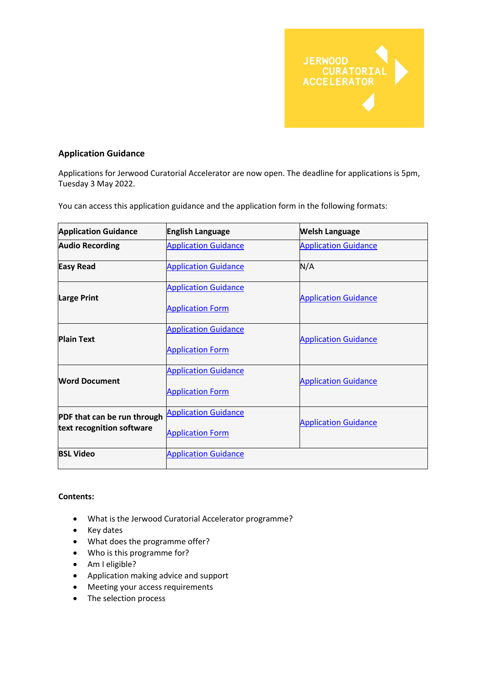

## **Application Guidance**

Applications for Jerwood Curatorial Accelerator are now open. The deadline for applications is 5pm, Tuesday 3 May 2022.

You can access this application guidance and the application form in the following formats:

| <b>Application Guidance</b>                              | <b>English Language</b>                                | <b>Welsh Language</b>       |
|----------------------------------------------------------|--------------------------------------------------------|-----------------------------|
| <b>Audio Recording</b>                                   | <b>Application Guidance</b>                            | <b>Application Guidance</b> |
| <b>Easy Read</b>                                         | <b>Application Guidance</b>                            | N/A                         |
| <b>Large Print</b>                                       | <b>Application Guidance</b><br><b>Application Form</b> | <b>Application Guidance</b> |
| <b>Plain Text</b>                                        | <b>Application Guidance</b><br><b>Application Form</b> | <b>Application Guidance</b> |
| <b>Word Document</b>                                     | <b>Application Guidance</b><br><b>Application Form</b> | <b>Application Guidance</b> |
| PDF that can be run through<br>text recognition software | <b>Application Guidance</b><br><b>Application Form</b> | <b>Application Guidance</b> |
| <b>BSL Video</b>                                         | <b>Application Guidance</b>                            |                             |

### **Contents:**

- What is the Jerwood Curatorial Accelerator programme?
- Key dates
- What does the programme offer?
- Who is this programme for?
- Am I eligible?
- Application making advice and support
- Meeting your access requirements
- The selection process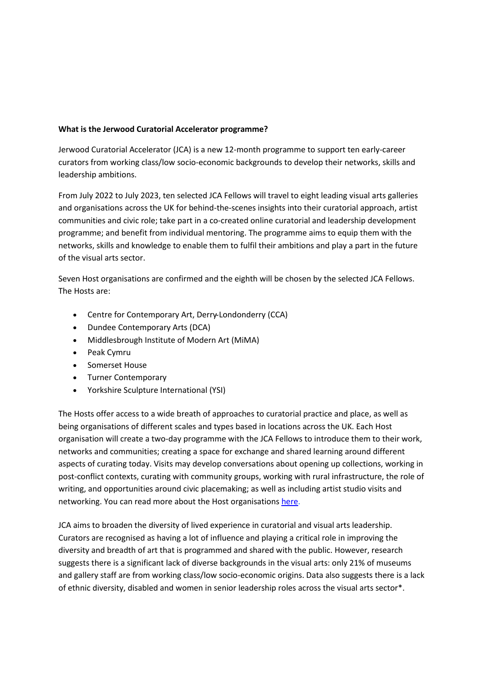### **What is the Jerwood Curatorial Accelerator programme?**

Jerwood Curatorial Accelerator (JCA) is a new 12-month programme to support ten early-career curators from working class/low socio-economic backgrounds to develop their networks, skills and leadership ambitions.

From July 2022 to July 2023, ten selected JCA Fellows will travel to eight leading visual arts galleries and organisations across the UK for behind-the-scenes insights into their curatorial approach, artist communities and civic role; take part in a co-created online curatorial and leadership development programme; and benefit from individual mentoring. The programme aims to equip them with the networks, skills and knowledge to enable them to fulfil their ambitions and play a part in the future of the visual arts sector.

Seven Host organisations are confirmed and the eighth will be chosen by the selected JCA Fellows. The Hosts are:

- Centre for Contemporary Art, Derry Londonderry (CCA)
- Dundee Contemporary Arts (DCA)
- Middlesbrough Institute of Modern Art (MiMA)
- Peak Cymru
- Somerset House
- Turner Contemporary
- Yorkshire Sculpture International (YSI)

The Hosts offer access to a wide breath of approaches to curatorial practice and place, as well as being organisations of different scales and types based in locations across the UK. Each Host organisation will create a two-day programme with the JCA Fellows to introduce them to their work, networks and communities; creating a space for exchange and shared learning around different aspects of curating today. Visits may develop conversations about opening up collections, working in post-conflict contexts, curating with community groups, working with rural infrastructure, the role of writing, and opportunities around civic placemaking; as well as including artist studio visits and networking. You can read more about the Host organisations [here.](https://jerwoodarts.org/projects/jerwood-curatorial-accelerator-host-organisations/)

JCA aims to broaden the diversity of lived experience in curatorial and visual arts leadership. Curators are recognised as having a lot of influence and playing a critical role in improving the diversity and breadth of art that is programmed and shared with the public. However, research suggests there is a significant lack of diverse backgrounds in the visual arts: only 21% of museums and gallery staff are from working class/low socio-economic origins. Data also suggests there is a lack of ethnic diversity, disabled and women in senior leadership roles across the visual arts sector\*.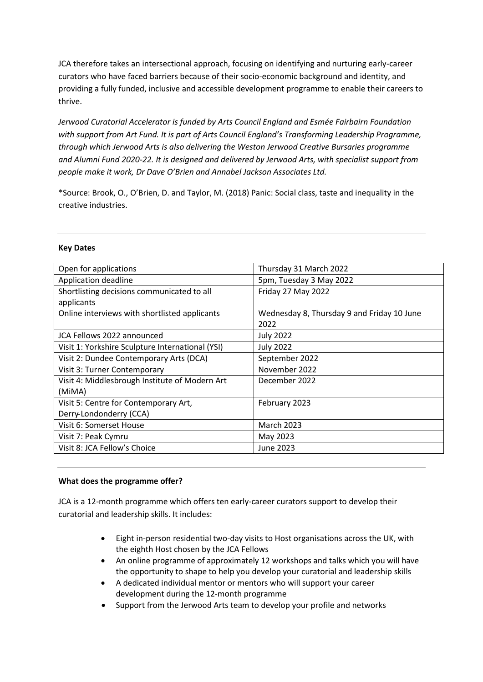JCA therefore takes an intersectional approach, focusing on identifying and nurturing early-career curators who have faced barriers because of their socio-economic background and identity, and providing a fully funded, inclusive and accessible development programme to enable their careers to thrive.

*Jerwood Curatorial Accelerator is funded by Arts Council England and Esmée Fairbairn Foundation with support from Art Fund. It is part of Arts Council England's Transforming Leadership Programme, through which Jerwood Arts is also delivering the Weston Jerwood Creative Bursaries programme and Alumni Fund 2020-22. It is designed and delivered by Jerwood Arts, with specialist support from people make it work, Dr Dave O'Brien and Annabel Jackson Associates Ltd.*

\*Source: Brook, O., O'Brien, D. and Taylor, M. (2018) Panic: Social class, taste and inequality in the creative industries.

### **Key Dates**

| Thursday 31 March 2022                     |  |
|--------------------------------------------|--|
| 5pm, Tuesday 3 May 2022                    |  |
| Friday 27 May 2022                         |  |
|                                            |  |
| Wednesday 8, Thursday 9 and Friday 10 June |  |
| 2022                                       |  |
| <b>July 2022</b>                           |  |
| <b>July 2022</b>                           |  |
| September 2022                             |  |
| November 2022                              |  |
| December 2022                              |  |
|                                            |  |
| February 2023                              |  |
|                                            |  |
| <b>March 2023</b>                          |  |
| May 2023                                   |  |
| June 2023                                  |  |
|                                            |  |

### **What does the programme offer?**

JCA is a 12-month programme which offers ten early-career curators support to develop their curatorial and leadership skills. It includes:

- Eight in-person residential two-day visits to Host organisations across the UK, with the eighth Host chosen by the JCA Fellows
- An online programme of approximately 12 workshops and talks which you will have the opportunity to shape to help you develop your curatorial and leadership skills
- A dedicated individual mentor or mentors who will support your career development during the 12-month programme
- Support from the Jerwood Arts team to develop your profile and networks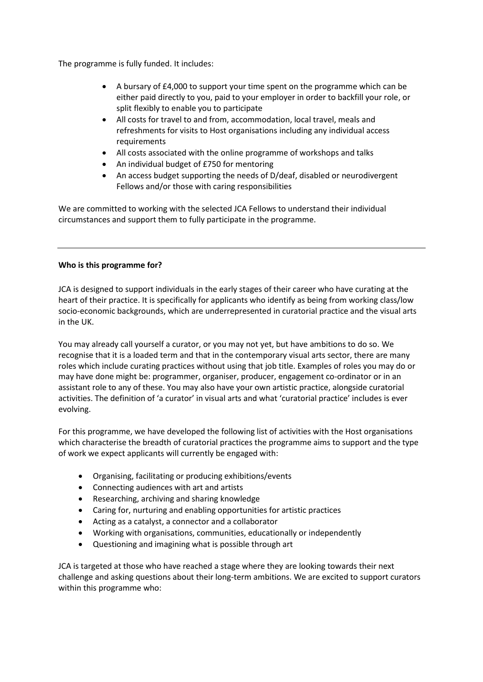The programme is fully funded. It includes:

- A bursary of £4,000 to support your time spent on the programme which can be either paid directly to you, paid to your employer in order to backfill your role, or split flexibly to enable you to participate
- All costs for travel to and from, accommodation, local travel, meals and refreshments for visits to Host organisations including any individual access requirements
- All costs associated with the online programme of workshops and talks
- An individual budget of £750 for mentoring
- An access budget supporting the needs of D/deaf, disabled or neurodivergent Fellows and/or those with caring responsibilities

We are committed to working with the selected JCA Fellows to understand their individual circumstances and support them to fully participate in the programme.

### **Who is this programme for?**

JCA is designed to support individuals in the early stages of their career who have curating at the heart of their practice. It is specifically for applicants who identify as being from working class/low socio-economic backgrounds, which are underrepresented in curatorial practice and the visual arts in the UK.

You may already call yourself a curator, or you may not yet, but have ambitions to do so. We recognise that it is a loaded term and that in the contemporary visual arts sector, there are many roles which include curating practices without using that job title. Examples of roles you may do or may have done might be: programmer, organiser, producer, engagement co-ordinator or in an assistant role to any of these. You may also have your own artistic practice, alongside curatorial activities. The definition of 'a curator' in visual arts and what 'curatorial practice' includes is ever evolving.

For this programme, we have developed the following list of activities with the Host organisations which characterise the breadth of curatorial practices the programme aims to support and the type of work we expect applicants will currently be engaged with:

- Organising, facilitating or producing exhibitions/events
- Connecting audiences with art and artists
- Researching, archiving and sharing knowledge
- Caring for, nurturing and enabling opportunities for artistic practices
- Acting as a catalyst, a connector and a collaborator
- Working with organisations, communities, educationally or independently
- Questioning and imagining what is possible through art

JCA is targeted at those who have reached a stage where they are looking towards their next challenge and asking questions about their long-term ambitions. We are excited to support curators within this programme who: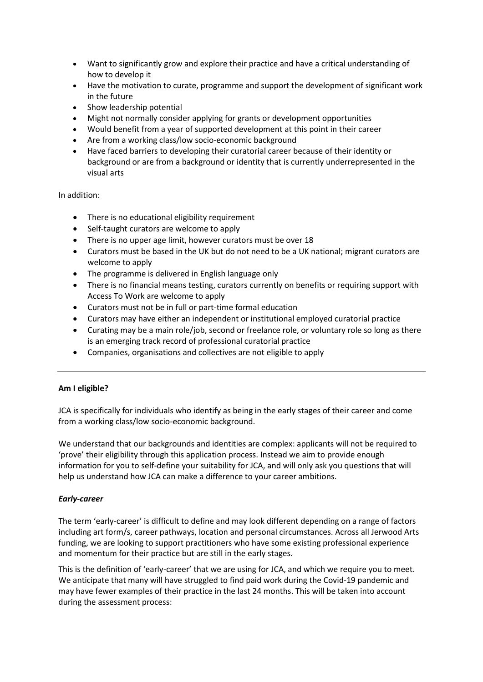- Want to significantly grow and explore their practice and have a critical understanding of how to develop it
- Have the motivation to curate, programme and support the development of significant work in the future
- Show leadership potential
- Might not normally consider applying for grants or development opportunities
- Would benefit from a year of supported development at this point in their career
- Are from a working class/low socio-economic background
- Have faced barriers to developing their curatorial career because of their identity or background or are from a background or identity that is currently underrepresented in the visual arts

In addition:

- There is no educational eligibility requirement
- Self-taught curators are welcome to apply
- There is no upper age limit, however curators must be over 18
- Curators must be based in the UK but do not need to be a UK national; migrant curators are welcome to apply
- The programme is delivered in English language only
- There is no financial means testing, curators currently on benefits or requiring support with Access To Work are welcome to apply
- Curators must not be in full or part-time formal education
- Curators may have either an independent or institutional employed curatorial practice
- Curating may be a main role/job, second or freelance role, or voluntary role so long as there is an emerging track record of professional curatorial practice
- Companies, organisations and collectives are not eligible to apply

### **Am I eligible?**

JCA is specifically for individuals who identify as being in the early stages of their career and come from a working class/low socio-economic background.

We understand that our backgrounds and identities are complex: applicants will not be required to 'prove' their eligibility through this application process. Instead we aim to provide enough information for you to self-define your suitability for JCA, and will only ask you questions that will help us understand how JCA can make a difference to your career ambitions.

# *Early-career*

The term 'early-career' is difficult to define and may look different depending on a range of factors including art form/s, career pathways, location and personal circumstances. Across all Jerwood Arts funding, we are looking to support practitioners who have some existing professional experience and momentum for their practice but are still in the early stages.

This is the definition of 'early-career' that we are using for JCA, and which we require you to meet. We anticipate that many will have struggled to find paid work during the Covid-19 pandemic and may have fewer examples of their practice in the last 24 months. This will be taken into account during the assessment process: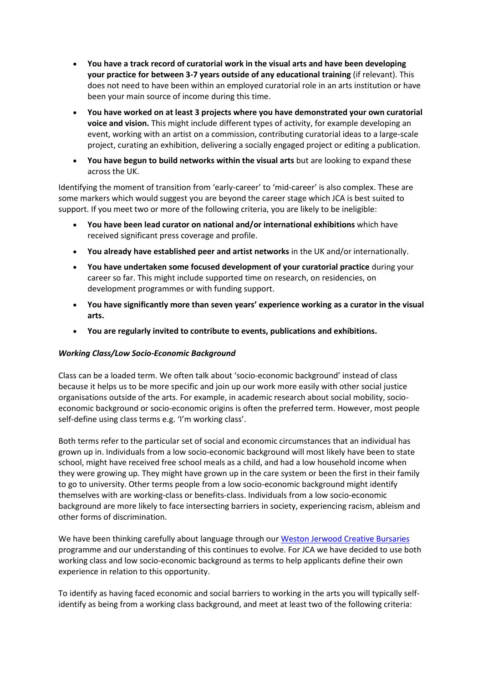- **You have a track record of curatorial work in the visual arts and have been developing your practice for between 3-7 years outside of any educational training** (if relevant). This does not need to have been within an employed curatorial role in an arts institution or have been your main source of income during this time.
- **You have worked on at least 3 projects where you have demonstrated your own curatorial voice and vision.** This might include different types of activity, for example developing an event, working with an artist on a commission, contributing curatorial ideas to a large-scale project, curating an exhibition, delivering a socially engaged project or editing a publication.
- **You have begun to build networks within the visual arts** but are looking to expand these across the UK.

Identifying the moment of transition from 'early-career' to 'mid-career' is also complex. These are some markers which would suggest you are beyond the career stage which JCA is best suited to support. If you meet two or more of the following criteria, you are likely to be ineligible:

- **You have been lead curator on national and/or international exhibitions** which have received significant press coverage and profile.
- **You already have established peer and artist networks** in the UK and/or internationally.
- **You have undertaken some focused development of your curatorial practice** during your career so far. This might include supported time on research, on residencies, on development programmes or with funding support.
- **You have significantly more than seven years' experience working as a curator in the visual arts.**
- **You are regularly invited to contribute to events, publications and exhibitions.**

### *Working Class/Low Socio-Economic Background*

Class can be a loaded term. We often talk about 'socio-economic background' instead of class because it helps us to be more specific and join up our work more easily with other social justice organisations outside of the arts. For example, in academic research about social mobility, socioeconomic background or socio-economic origins is often the preferred term. However, most people self-define using class terms e.g. 'I'm working class'.

Both terms refer to the particular set of social and economic circumstances that an individual has grown up in. Individuals from a low socio-economic background will most likely have been to state school, might have received free school meals as a child, and had a low household income when they were growing up. They might have grown up in the care system or been the first in their family to go to university. Other terms people from a low socio-economic background might identify themselves with are working-class or benefits-class. Individuals from a low socio-economic background are more likely to face intersecting barriers in society, experiencing racism, ableism and other forms of discrimination.

We have been thinking carefully about language through our [Weston Jerwood Creative Bursaries](https://jerwoodarts.org/projects/weston-jerwood-creative-bursaries-2020-22/) programme and our understanding of this continues to evolve. For JCA we have decided to use both working class and low socio-economic background as terms to help applicants define their own experience in relation to this opportunity.

To identify as having faced economic and social barriers to working in the arts you will typically selfidentify as being from a working class background, and meet at least two of the following criteria: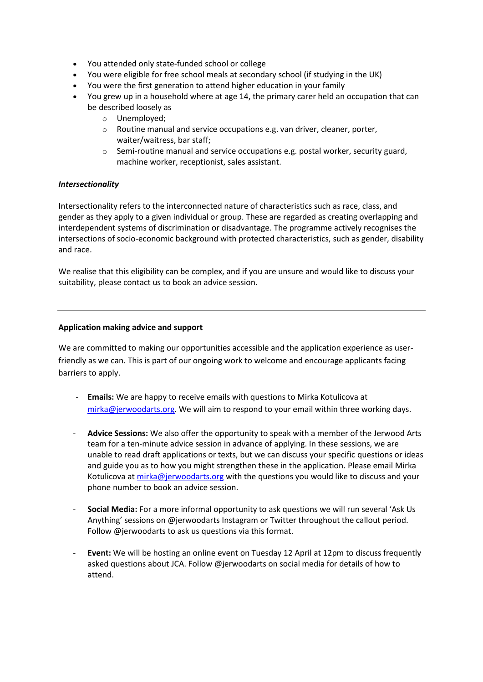- You attended only state-funded school or college
- You were eligible for free school meals at secondary school (if studying in the UK)
- You were the first generation to attend higher education in your family
- You grew up in a household where at age 14, the primary carer held an occupation that can be described loosely as
	- o Unemployed;
	- o Routine manual and service occupations e.g. van driver, cleaner, porter, waiter/waitress, bar staff;
	- $\circ$  Semi-routine manual and service occupations e.g. postal worker, security guard, machine worker, receptionist, sales assistant.

### *Intersectionality*

Intersectionality refers to the interconnected nature of characteristics such as race, class, and gender as they apply to a given individual or group. These are regarded as creating overlapping and interdependent systems of discrimination or disadvantage. The programme actively recognises the intersections of socio-economic background with protected characteristics, such as gender, disability and race.

We realise that this eligibility can be complex, and if you are unsure and would like to discuss your suitability, please contact us to book an advice session.

### **Application making advice and support**

We are committed to making our opportunities accessible and the application experience as userfriendly as we can. This is part of our ongoing work to welcome and encourage applicants facing barriers to apply.

- **Emails:** We are happy to receive emails with questions to Mirka Kotulicova at [mirka@jerwoodarts.org.](mailto:mirka@jerwoodarts.org) We will aim to respond to your email within three working days.
- **Advice Sessions:** We also offer the opportunity to speak with a member of the Jerwood Arts team for a ten-minute advice session in advance of applying. In these sessions, we are unable to read draft applications or texts, but we can discuss your specific questions or ideas and guide you as to how you might strengthen these in the application. Please email Mirka Kotulicova a[t mirka@jerwoodarts.org](mailto:mirka@jerwoodarts.org) with the questions you would like to discuss and your phone number to book an advice session.
- **Social Media:** For a more informal opportunity to ask questions we will run several 'Ask Us Anything' sessions on @jerwoodarts Instagram or Twitter throughout the callout period. Follow @jerwoodarts to ask us questions via this format.
- Event: We will be hosting an online event on Tuesday 12 April at 12pm to discuss frequently asked questions about JCA. Follow @jerwoodarts on social media for details of how to attend.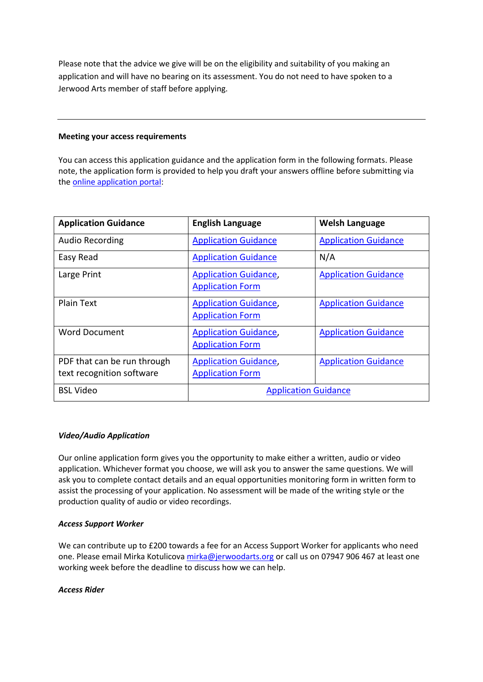Please note that the advice we give will be on the eligibility and suitability of you making an application and will have no bearing on its assessment. You do not need to have spoken to a Jerwood Arts member of staff before applying.

#### **Meeting your access requirements**

You can access this application guidance and the application form in the following formats. Please note, the application form is provided to help you draft your answers offline before submitting via th[e online application portal:](https://jerwoodarts.org/jerwood-curatorial-accelerator-application-form/)

| <b>Application Guidance</b>                              | <b>English Language</b>                                 | <b>Welsh Language</b>       |
|----------------------------------------------------------|---------------------------------------------------------|-----------------------------|
| <b>Audio Recording</b>                                   | <b>Application Guidance</b>                             | <b>Application Guidance</b> |
| Easy Read                                                | <b>Application Guidance</b>                             | N/A                         |
| Large Print                                              | <b>Application Guidance,</b><br><b>Application Form</b> | <b>Application Guidance</b> |
| Plain Text                                               | <b>Application Guidance,</b><br><b>Application Form</b> | <b>Application Guidance</b> |
| <b>Word Document</b>                                     | <b>Application Guidance,</b><br><b>Application Form</b> | <b>Application Guidance</b> |
| PDF that can be run through<br>text recognition software | <b>Application Guidance,</b><br><b>Application Form</b> | <b>Application Guidance</b> |
| <b>BSL Video</b>                                         | <b>Application Guidance</b>                             |                             |

### *Video/Audio Application*

Our online application form gives you the opportunity to make either a written, audio or video application. Whichever format you choose, we will ask you to answer the same questions. We will ask you to complete contact details and an equal opportunities monitoring form in written form to assist the processing of your application. No assessment will be made of the writing style or the production quality of audio or video recordings.

### *Access Support Worker*

We can contribute up to £200 towards a fee for an Access Support Worker for applicants who need one. Please email Mirka Kotulicova [mirka@jerwoodarts.org](mailto:mirka@jerwoodarts.org) or call us on 07947 906 467 at least one working week before the deadline to discuss how we can help.

### *Access Rider*